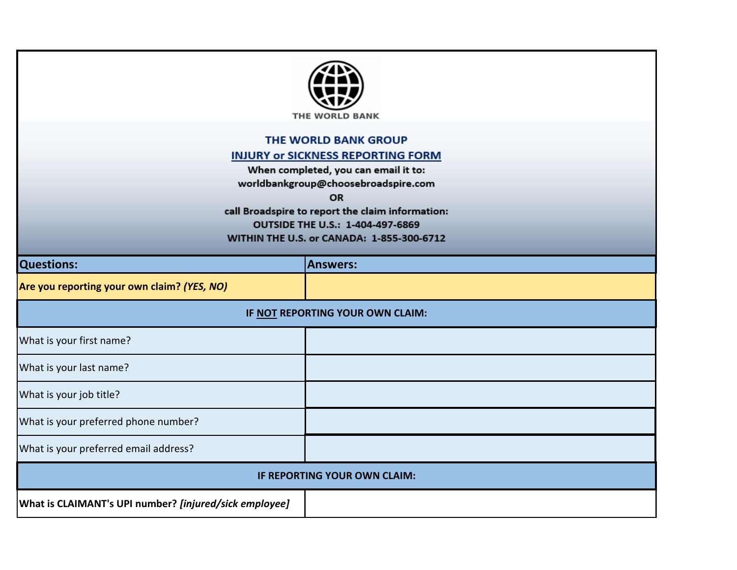

## THE WORLD BANK GROUP

## **INJURY or SICKNESS REPORTING FORM**

When completed, you can email it to: worldbankgroup@choosebroadspire.com

OR

call Broadspire to report the claim information: OUTSIDE THE U.S.: 1-404-497-6869 WITHIN THE U.S. or CANADA: 1-855-300-6712

| <b>Questions:</b>                                      | <b>Answers:</b> |  |
|--------------------------------------------------------|-----------------|--|
| Are you reporting your own claim? (YES, NO)            |                 |  |
| IF NOT REPORTING YOUR OWN CLAIM:                       |                 |  |
| What is your first name?                               |                 |  |
| What is your last name?                                |                 |  |
| What is your job title?                                |                 |  |
| What is your preferred phone number?                   |                 |  |
| What is your preferred email address?                  |                 |  |
| IF REPORTING YOUR OWN CLAIM:                           |                 |  |
| What is CLAIMANT's UPI number? [injured/sick employee] |                 |  |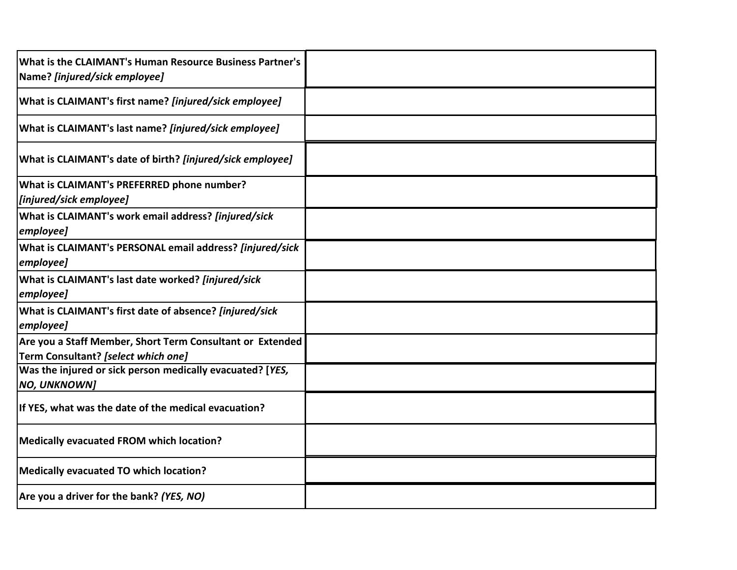| What is the CLAIMANT's Human Resource Business Partner's<br>Name? [injured/sick employee]        |  |
|--------------------------------------------------------------------------------------------------|--|
| What is CLAIMANT's first name? [injured/sick employee]                                           |  |
| What is CLAIMANT's last name? [injured/sick employee]                                            |  |
| What is CLAIMANT's date of birth? [injured/sick employee]                                        |  |
| <b>What is CLAIMANT's PREFERRED phone number?</b><br>[injured/sick employee]                     |  |
| What is CLAIMANT's work email address? [injured/sick<br> employee]                               |  |
| What is CLAIMANT's PERSONAL email address? [injured/sick<br> employee]                           |  |
| What is CLAIMANT's last date worked? [injured/sick<br> employee]                                 |  |
| What is CLAIMANT's first date of absence? [injured/sick<br>employee]                             |  |
| Are you a Staff Member, Short Term Consultant or Extended<br>Term Consultant? [select which one] |  |
| Was the injured or sick person medically evacuated? [YES,<br>NO, UNKNOWN]                        |  |
| If YES, what was the date of the medical evacuation?                                             |  |
| Medically evacuated FROM which location?                                                         |  |
| Medically evacuated TO which location?                                                           |  |
| Are you a driver for the bank? (YES, NO)                                                         |  |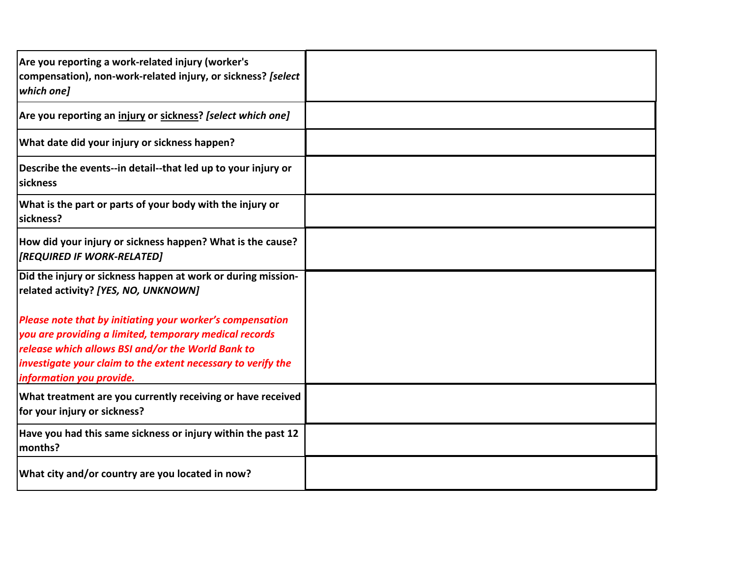| Are you reporting a work-related injury (worker's<br>compensation), non-work-related injury, or sickness? [select<br>which one]                                                                                                                                      |  |
|----------------------------------------------------------------------------------------------------------------------------------------------------------------------------------------------------------------------------------------------------------------------|--|
| Are you reporting an injury or sickness? [select which one]                                                                                                                                                                                                          |  |
| What date did your injury or sickness happen?                                                                                                                                                                                                                        |  |
| Describe the events--in detail--that led up to your injury or<br>sickness                                                                                                                                                                                            |  |
| What is the part or parts of your body with the injury or<br>sickness?                                                                                                                                                                                               |  |
| How did your injury or sickness happen? What is the cause?<br>[REQUIRED IF WORK-RELATED]                                                                                                                                                                             |  |
| Did the injury or sickness happen at work or during mission-<br>related activity? [YES, NO, UNKNOWN]                                                                                                                                                                 |  |
| Please note that by initiating your worker's compensation<br>you are providing a limited, temporary medical records<br>release which allows BSI and/or the World Bank to<br>investigate your claim to the extent necessary to verify the<br>information you provide. |  |
| What treatment are you currently receiving or have received<br>for your injury or sickness?                                                                                                                                                                          |  |
| Have you had this same sickness or injury within the past 12<br>months?                                                                                                                                                                                              |  |
| What city and/or country are you located in now?                                                                                                                                                                                                                     |  |